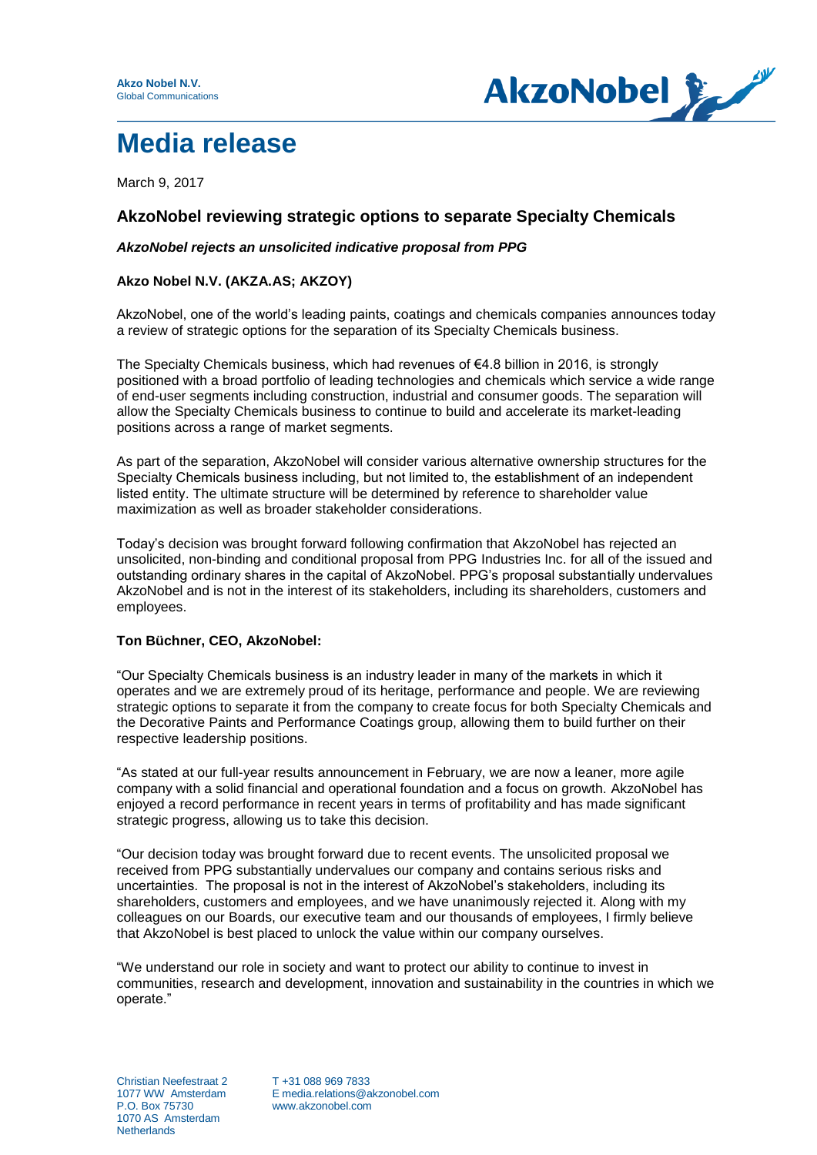

# **Media release**

March 9, 2017

## **AkzoNobel reviewing strategic options to separate Specialty Chemicals**

## *AkzoNobel rejects an unsolicited indicative proposal from PPG*

## **Akzo Nobel N.V. (AKZA.AS; AKZOY)**

AkzoNobel, one of the world's leading paints, coatings and chemicals companies announces today a review of strategic options for the separation of its Specialty Chemicals business.

The Specialty Chemicals business, which had revenues of  $\epsilon$ 4.8 billion in 2016, is strongly positioned with a broad portfolio of leading technologies and chemicals which service a wide range of end-user segments including construction, industrial and consumer goods. The separation will allow the Specialty Chemicals business to continue to build and accelerate its market-leading positions across a range of market segments.

As part of the separation, AkzoNobel will consider various alternative ownership structures for the Specialty Chemicals business including, but not limited to, the establishment of an independent listed entity. The ultimate structure will be determined by reference to shareholder value maximization as well as broader stakeholder considerations.

Today's decision was brought forward following confirmation that AkzoNobel has rejected an unsolicited, non-binding and conditional proposal from PPG Industries Inc. for all of the issued and outstanding ordinary shares in the capital of AkzoNobel. PPG's proposal substantially undervalues AkzoNobel and is not in the interest of its stakeholders, including its shareholders, customers and employees.

#### **Ton Büchner, CEO, AkzoNobel:**

"Our Specialty Chemicals business is an industry leader in many of the markets in which it operates and we are extremely proud of its heritage, performance and people. We are reviewing strategic options to separate it from the company to create focus for both Specialty Chemicals and the Decorative Paints and Performance Coatings group, allowing them to build further on their respective leadership positions.

"As stated at our full-year results announcement in February, we are now a leaner, more agile company with a solid financial and operational foundation and a focus on growth. AkzoNobel has enjoyed a record performance in recent years in terms of profitability and has made significant strategic progress, allowing us to take this decision.

"Our decision today was brought forward due to recent events. The unsolicited proposal we received from PPG substantially undervalues our company and contains serious risks and uncertainties. The proposal is not in the interest of AkzoNobel's stakeholders, including its shareholders, customers and employees, and we have unanimously rejected it. Along with my colleagues on our Boards, our executive team and our thousands of employees, I firmly believe that AkzoNobel is best placed to unlock the value within our company ourselves.

"We understand our role in society and want to protect our ability to continue to invest in communities, research and development, innovation and sustainability in the countries in which we operate."

Christian Neefestraat 2 T +31 088 969 7833<br>1077 WW Amsterdam E media.relations@a 1070 AS Amsterdam **Netherlands** 

1077 WW Amsterdam E media.relations@akzonobel.com www.akzonobel.com